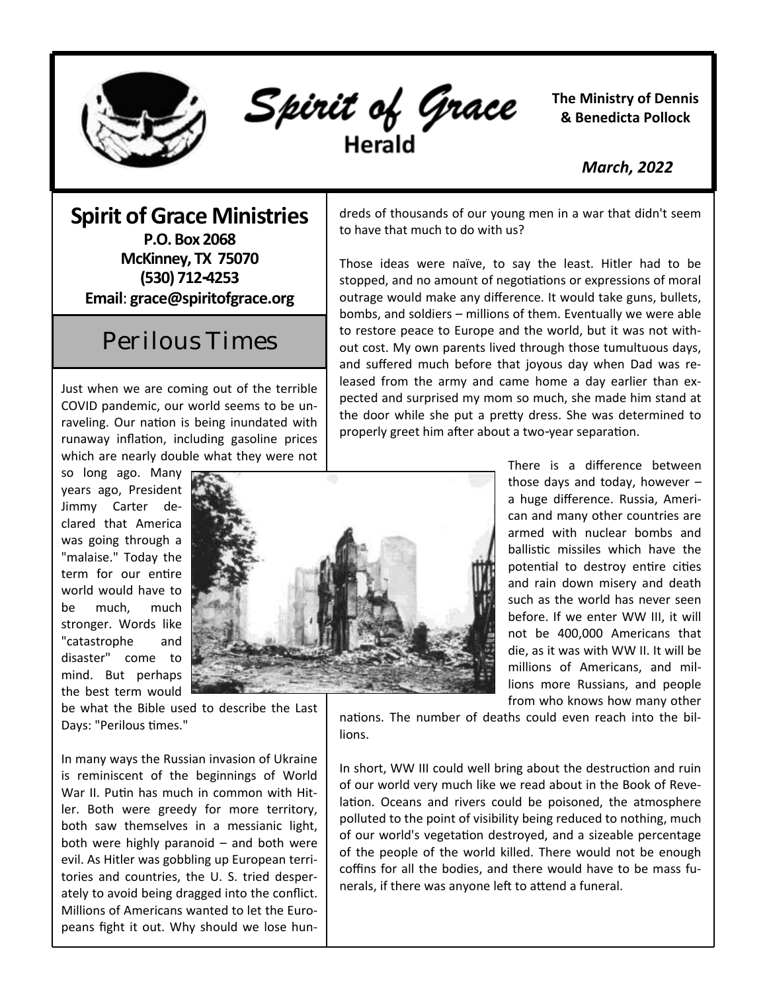

Spirit of Grace

**The Ministry of Dennis & Benedicta Pollock**

 *March, 2022*

## **Spirit of Grace Ministries**

**P.O. Box 2068 McKinney, TX 75070 (530) 712-4253 Email**: **grace@spiritofgrace.org**

## Perilous Times

Just when we are coming out of the terrible COVID pandemic, our world seems to be unraveling. Our nation is being inundated with runaway inflation, including gasoline prices which are nearly double what they were not

so long ago. Many years ago, President Jimmy Carter declared that America was going through a "malaise." Today the term for our entire world would have to be much, much stronger. Words like "catastrophe and disaster" come to mind. But perhaps the best term would



dreds of thousands of our young men in a war that didn't seem to have that much to do with us?

Those ideas were naïve, to say the least. Hitler had to be stopped, and no amount of negotiations or expressions of moral outrage would make any difference. It would take guns, bullets, bombs, and soldiers – millions of them. Eventually we were able to restore peace to Europe and the world, but it was not without cost. My own parents lived through those tumultuous days, and suffered much before that joyous day when Dad was released from the army and came home a day earlier than expected and surprised my mom so much, she made him stand at the door while she put a pretty dress. She was determined to properly greet him after about a two-year separation.

> There is a difference between those days and today, however – a huge difference. Russia, American and many other countries are armed with nuclear bombs and ballistic missiles which have the potential to destroy entire cities and rain down misery and death such as the world has never seen before. If we enter WW III, it will not be 400,000 Americans that die, as it was with WW II. It will be millions of Americans, and millions more Russians, and people from who knows how many other

be what the Bible used to describe the Last Days: "Perilous times."

In many ways the Russian invasion of Ukraine is reminiscent of the beginnings of World War II. Putin has much in common with Hitler. Both were greedy for more territory, both saw themselves in a messianic light, both were highly paranoid – and both were evil. As Hitler was gobbling up European territories and countries, the U. S. tried desperately to avoid being dragged into the conflict. Millions of Americans wanted to let the Europeans fight it out. Why should we lose hunnations. The number of deaths could even reach into the billions.

polluted to the point of visibility being reduced to nothing, much of but world's vegetation destroyed, and a sizeable percentage<br>of the people of the world killed. There would not be enough coffins for all the bodies, and there would have to be mass funerals, if there was anyone left to attend a funeral. In short, WW III could well bring about the destruction and ruin of our world very much like we read about in the Book of Revelation. Oceans and rivers could be poisoned, the atmosphere of our world's vegetation destroyed, and a sizeable percentage